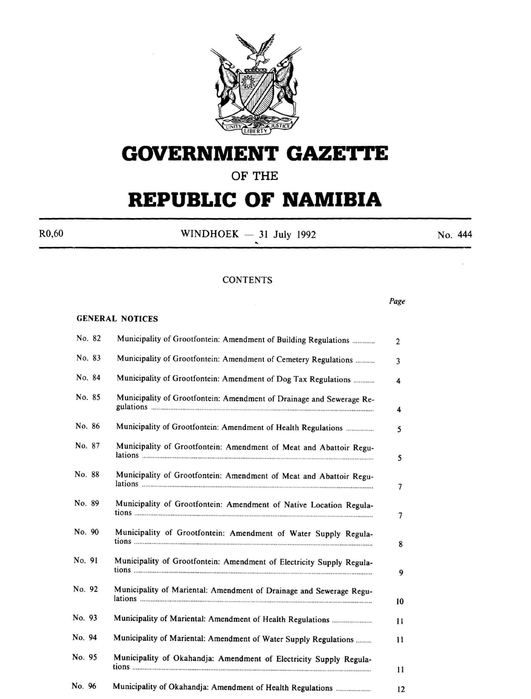

# **GOVERNMENT GAZETTE**

# **OF THE**

# **REPUBLIC OF NAMIBIA**

 $R0,60$  WINDHOEK - 31 July 1992 No. 444

# **CONTENTS**

*Page* 

# GENERAL NOTICES

|        | No. 82 | Municipality of Grootfontein: Amendment of Building Regulations       | 2             |
|--------|--------|-----------------------------------------------------------------------|---------------|
|        | No. 83 | Municipality of Grootfontein: Amendment of Cemetery Regulations       | 3             |
|        | No. 84 | Municipality of Grootfontein: Amendment of Dog Tax Regulations        | 4             |
|        | No. 85 | Municipality of Grootfontein: Amendment of Drainage and Sewerage Re-  | 4             |
|        | No. 86 | Municipality of Grootfontein: Amendment of Health Regulations         | 5             |
|        | No. 87 | Municipality of Grootfontein: Amendment of Meat and Abattoir Regu-    | 5             |
|        | No. 88 | Municipality of Grootfontein: Amendment of Meat and Abattoir Regu-    | 7             |
| No. 89 |        | Municipality of Grootfontein: Amendment of Native Location Regula-    | 7             |
| No. 90 |        | Municipality of Grootfontein: Amendment of Water Supply Regula-       | 8             |
| No. 91 |        | Municipality of Grootfontein: Amendment of Electricity Supply Regula- | 9             |
| No. 92 |        | Municipality of Mariental: Amendment of Drainage and Sewerage Regu-   | 10            |
| No. 93 |        |                                                                       | $\mathbf{11}$ |
| No. 94 |        | Municipality of Mariental: Amendment of Water Supply Regulations      | 11            |
| No. 95 |        | Municipality of Okahandja: Amendment of Electricity Supply Regula-    | 11            |
| No. 96 |        | Municipality of Okahandja: Amendment of Health Regulations            | 12            |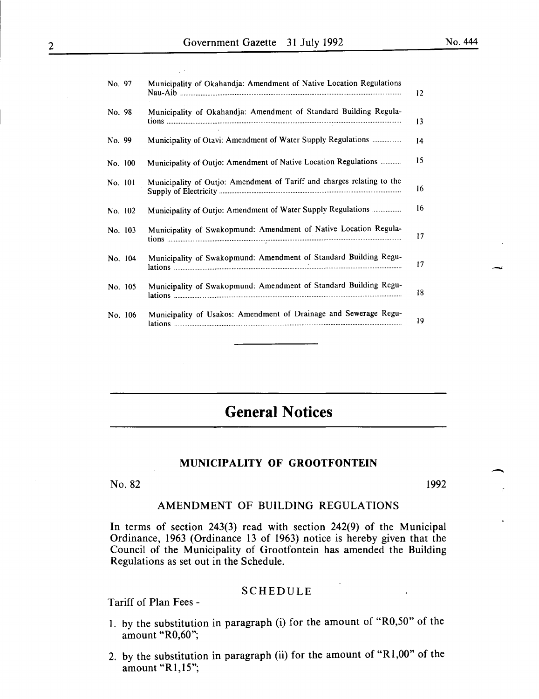| No. 97  | Municipality of Okahandja: Amendment of Native Location Regulations    |
|---------|------------------------------------------------------------------------|
| No. 98  | Municipality of Okahandja: Amendment of Standard Building Regula-      |
| No. 99  | Municipality of Otavi: Amendment of Water Supply Regulations           |
| No. 100 | Municipality of Outjo: Amendment of Native Location Regulations        |
| No. 101 | Municipality of Outjo: Amendment of Tariff and charges relating to the |
| No. 102 | Municipality of Outjo: Amendment of Water Supply Regulations           |
| No. 103 | Municipality of Swakopmund: Amendment of Native Location Regula-       |
| No. 104 | Municipality of Swakopmund: Amendment of Standard Building Regu-       |
| No. 105 | Municipality of Swakopmund: Amendment of Standard Building Regu-       |
| No. 106 | Municipality of Usakos: Amendment of Drainage and Sewerage Regu-       |

# **General Notices**

#### **MUNICIPALITY OF GROOTFONTEIN**

No. 82 1992

# AMENDMENT OF BUILDING REGULATIONS

In terms of section 243(3) read with section 242(9) of the Municipal Ordinance, 1963 (Ordinance 13 of 1963) notice is hereby given that the Council of the Municipality of Grootfontein has amended the Building Regulations as set out in the Schedule.

# SCHEDULE

Tariff of Plan Fees -

- I. by the substitution in paragraph (i) for the amount of "R0,50" of the amount "R0,60";
- 2. by the substitution in paragraph (ii) for the amount of "Rl,OO" of the amount "R1,15";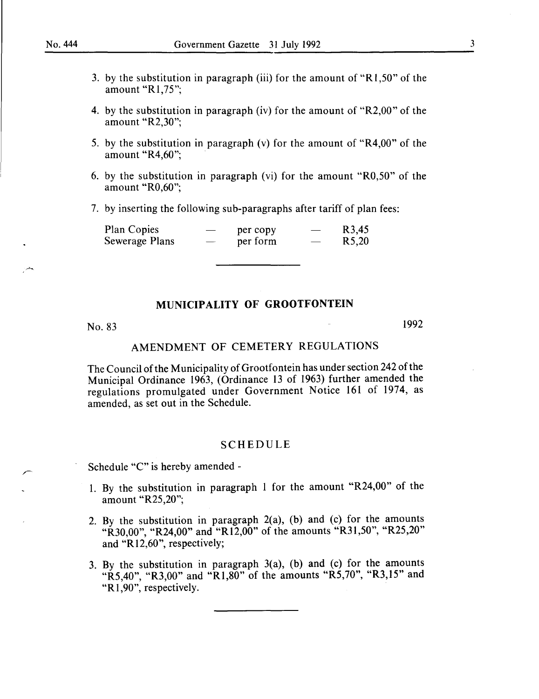- 3. by the substitution in paragraph (iii) for the amount of "Rl,50" of the amount "Rl,75";
- 4. by the substitution in paragraph (iv) for the amount of "R2,00" of the amount "R2,30";
- 5. by the substitution in paragraph (v) for the amount of "R4,00" of the amount " $R4,60$ ";
- 6. by the substitution in paragraph (vi) for the amount "R0,50" of the amount "R0,60";
- 7. by inserting the following sub-paragraphs after tariff of plan fees:

| Plan Copies    | $\overbrace{\hspace{25mm}}^{}$ | per copy |                          | R <sub>3</sub> ,45 |
|----------------|--------------------------------|----------|--------------------------|--------------------|
| Sewerage Plans | $\hspace{0.05cm}$              | per form | $\overline{\phantom{a}}$ | R <sub>5</sub> ,20 |

#### No. 83

1992

# AMENDMENT OF CEMETERY REGULATIONS

The Council of the Municipality of Grootfontein has under section 242 of the Municipal Ordinance 1963, (Ordinance 13 of 1963) further amended the regulations promulgated under Government Notice 161 of 1974, as amended, as set out in the Schedule.

#### SCHEDULE

Schedule "C" is hereby amended-

- 1. By the substitution in paragraph 1 for the amount "R24,00" of the amount "R25,20";
- 2. By the substitution in paragraph 2(a), (b) and (c) for the amounts "R30,00", "R24,00" and "R12,00" of the amounts "R31,50", "R25,20" and "Rl2,60", respectively;
- 3. By the substitution in paragraph  $3(a)$ , (b) and (c) for the amounts "R5,40", "R3,00" and "R1,80" of the amounts "R5,70", "R3,15" and "R<sub>1</sub>,90", respectively.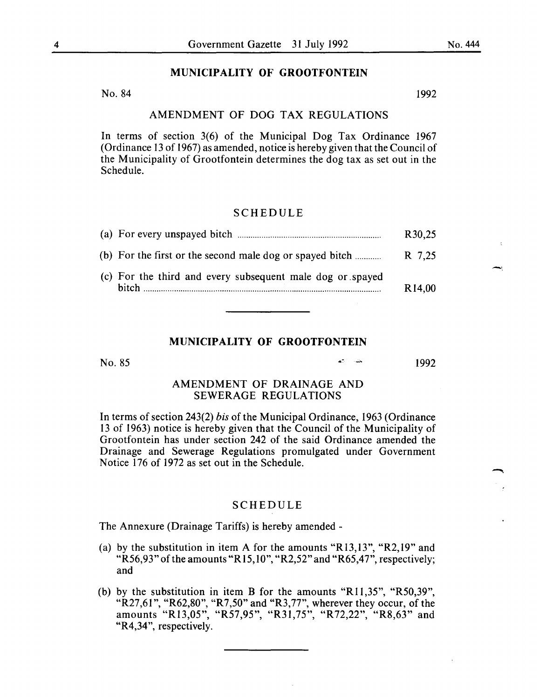No. 84 1992

# AMENDMENT OF DOG TAX REGULATIONS

In terms of section 3(6) of the Municipal Dog Tax Ordinance 1967 (Ordinance 13 of 1967) as amended, notice is hereby given that the Council of the Municipality of Grootfontein determines the dog tax as set out in the Schedule.

#### SCHEDULE

|                                                           | R30,25             |
|-----------------------------------------------------------|--------------------|
| (b) For the first or the second male dog or spayed bitch  | R 7.25             |
| (c) For the third and every subsequent male dog or spayed | R <sub>14.00</sub> |

# **MUNICIPALITY OF GROOTFONTEIN**

No. 85

1992

# AMENDMENT OF DRAINAGE AND SEWERAGE REGULATIONS

In terms of section 243(2) *bis* of the Municipal Ordinance, 1963 (Ordinance 13 of 1963) notice is hereby given that the Council of the Municipality of Grootfontein has under section 242 of the said Ordinance amended the Drainage and Sewerage Regulations promulgated under Government Notice 176 of 1972 as set out in the Schedule.

# SCHEDULE

The Annexure (Drainage Tariffs) is hereby amended-

- (a) by the substitution in item A for the amounts "R13,13", "R2,19" and "R56,93" of the amounts "R15,10", "R2,52" and "R65,47", respectively; and
- (b) by the substitution in item **B** for the amounts "R11,35", "R50,39", "R27,61", "R62,80", "R7,50" and "R3,77", wherever they occur, of the amounts "R13,05", "R57,95", "R31,75", "R72,22", "R8,63" and "R4,34", respectively.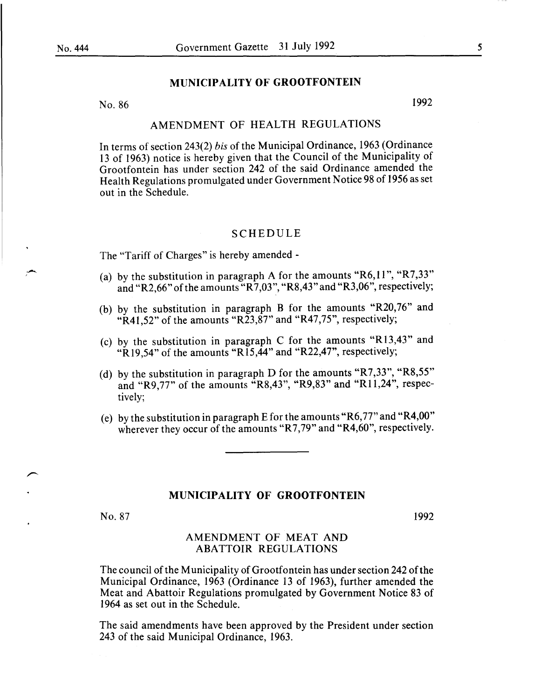No. 86 1992

# AMENDMENT OF HEALTH REGULATIONS

In terms of section 243(2) *bis* of the Municipal Ordinance, 1963 (Ordinance 13 of 1963) notice is hereby given that the Council of the Municipality of Grootfontein has under section 242 of the said Ordinance amended the Health Regulations promulgated under Government Notice 98 of 1956 as set out in the Schedule.

# SCHEDULE

The "Tariff of Charges" is hereby amended -

- (a) by the substitution in paragraph A for the amounts "R6,11", "R7,33" and "R2,66" of the amounts "R7,03", "R8,43" and "R3,06", respectively;
- (b) by the substitution in paragraph B for the amounts "R20,76" and "R41,52" of the amounts "R23, $\overline{87}$ " and "R47,75", respectively;
- (c) by the substitution in paragraph C for the amounts "R13,43" and "R19,54" of the amounts "R15,44" and "R22,47", respectively;
- (d) by the substitution in paragraph D for the amounts "R7,33", "R8,55" and "R9,77" of the amounts "R8,43", "R9,83" and "R11,24", respectively;
- (e) by the substitution in paragraph E for the amounts "R6,77" and "R4,00" wherever they occur of the amounts "R7,79" and "R4,60", respectively.

#### MUNICIPALITY OF GROOTFONTEIN

No. 87

1992

# AMENDMENT OF MEAT AND ABATTOIR REGULATIONS

The council of the Municipality of Grootfontein has under section 242 of the Municipal Ordinance, 1963 (Ordinance 13 of 1963), further amended the Meat and Abattoir Regulations promulgated by Government Notice 83 of 1964 as set out in the Schedule.

The said amendments have been approved by the President under section 243 of the said Municipal Ordinance, 1963.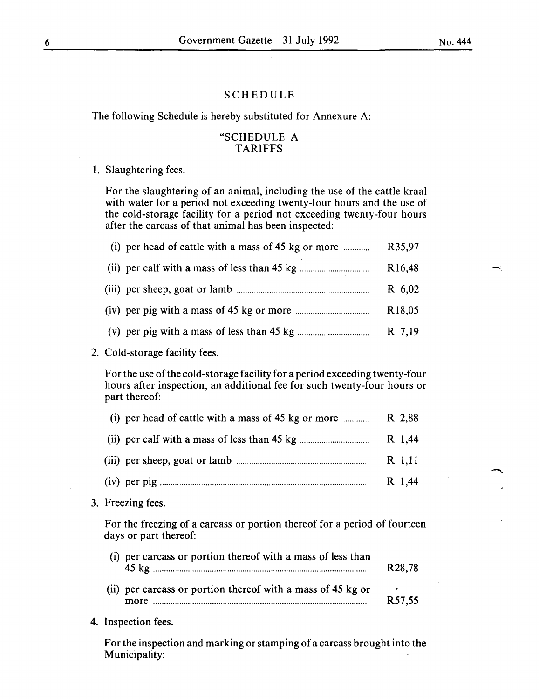# SCHEDULE

The following Schedule is hereby substituted for Annexure A:

# "SCHEDULE A TARIFFS

#### I. Slaughtering fees.

For the slaughtering of an animal, including the use of the cattle kraal with water for a period not exceeding twenty-four hours and the use of the cold-storage facility for a period not exceeding twenty-four hours after the carcass of that animal has been inspected:

| (i) per head of cattle with a mass of 45 kg or more $\ldots$ | R35,97              |
|--------------------------------------------------------------|---------------------|
|                                                              | R <sub>16</sub> ,48 |
|                                                              | R 6,02              |
|                                                              | R <sub>18</sub> ,05 |
|                                                              | R 7,19              |

2. Cold-storage facility fees.

For the use of the cold-storage facility for a period exceeding twenty-four hours after inspection, an additional fee for such twenty-four hours or part thereof:

| (i) per head of cattle with a mass of 45 kg or more $\ldots$ R 2,88                                       |        |
|-----------------------------------------------------------------------------------------------------------|--------|
| (ii) per calf with a mass of less than 45 kg $\ldots$ $\ldots$ $\ldots$ $\ldots$ $\ldots$ $\ldots$ R 1,44 |        |
|                                                                                                           | R 1,11 |
|                                                                                                           | R 1,44 |

3. Freezing fees.

For the freezing of a carcass or portion thereof for a period of fourteen days or part thereof:

| (i) per carcass or portion thereof with a mass of less than         | R <sub>28</sub> ,78 |
|---------------------------------------------------------------------|---------------------|
| (ii) per carcass or portion thereof with a mass of 45 kg or<br>more | R57.55              |

4. Inspection fees.

For the inspection and marking or stamping of a carcass brought into the Municipality: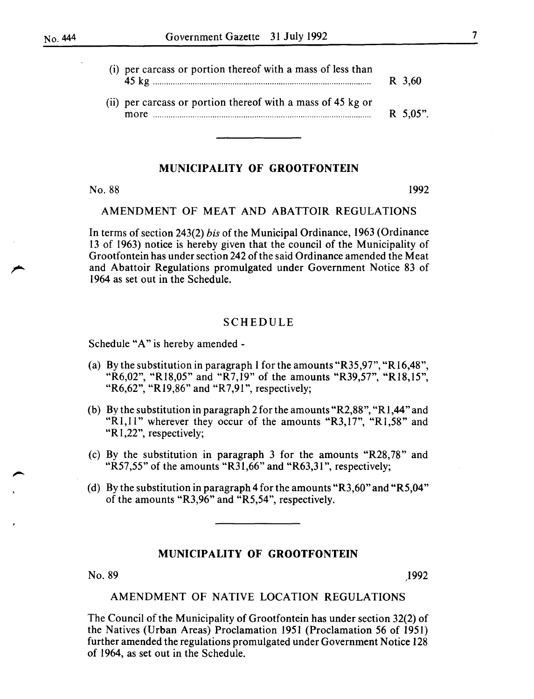| (i) per carcass or portion thereof with a mass of less than | R 3,60     |
|-------------------------------------------------------------|------------|
| (ii) per carcass or portion thereof with a mass of 45 kg or | $R$ 5.05". |

# No. 88 1992

# AMENDMENT OF MEAT AND ABATTOIR REGULATIONS

In terms of section 243(2) *bis* of the Municipal Ordinance, 1963 (Ordinance 13 of 1963) notice is hereby given that the council of the Municipality of Grootfontein has under section 242 of the said Ordinance amended the Meat and Abattoir Regulations promulgated under Government Notice 83 of 1964 as set out in the Schedule.

# SCHEDULE

Schedule "A" is hereby amended-

- (a) By the substitution in paragraph 1 for the amounts "R35,97", "R16,48", "R6,02", "R18,05" and "R7,19" of the amounts "R39,57", "R18,15", "R6,62", "R19,86" and "R7,91", respectively;
- (b) By the substitution in paragraph 2 for the amounts "R2,88", "R1,44" and "R1,11" wherever they occur of the amounts "R3,17", "R1,58" and "R<sub>1</sub>,22", respectively;
- (c) By the substitution in paragraph 3 for the amounts "R28,78" and "R57,55" of the amounts "R31,66" and "R63,31", respectively;
- (d) By the substitution in paragraph 4 for the amounts "R3,60" and "R5,04" of the amounts "R3,96" and "R5,54", respectively.

# MUNICIPALITY OF GROOTFONTEIN

 $N$ o. 89  $1992$ 

#### AMENDMENT OF NATIVE LOCATION REGULATIONS

The Council of the Municipality of Grootfontein has under section 32(2) of the Natives (Urban Areas) Proclamation 1951 (Proclamation 56 of 1951) further amended the regulations promulgated under Government Notice 128 of 1964, as set out in the Schedule.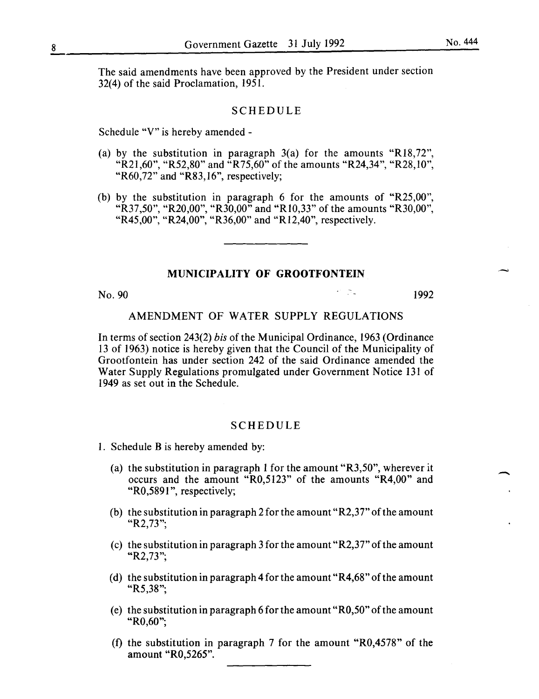The said amendments have been approved by the President under section 32(4) of the said Proclamation, 1951.

#### SCHEDULE

Schedule "V" is hereby amended-

- (a) by the substitution in paragraph  $3(a)$  for the amounts "R18,72". "R21,60", "R52,80" and "R75,60" of the amounts "R24,34", "R28,10", "R60,72" and "R83,16", respectively;
- (b) by the substitution in paragraph 6 for the amounts of "R25,00", "R37 ,50", "R20,00", "R30,00" and "Rl0,33" of the amounts "R30,00", "R45,00", "R24,00", "R36,00" and "R12,40", respectively.

# MUNICIPALITY OF GROOTFONTEIN

No. 90 **1992** 

-

# AMENDMENT OF WATER SUPPLY REGULATIONS

In terms of section 243(2) *his* of the Municipal Ordinance, 1963 (Ordinance 13 of 1963) notice is hereby given that the Council of the Municipality of Grootfontein has under section 242 of the said Ordinance amended the Water Supply Regulations promulgated under Government Notice 131 of 1949 as set out in the Schedule.

#### SCHEDULE

- 1. Schedule B is hereby amended by:
	- (a) the substitution in paragraph 1 for the amount "R3,50", wherever it occurs and the amount "R0,5123" of the amounts "R4,00" and "R0,5891", respectively;
	- (b) the substitution in paragraph 2 for the amount "R2,37" of the amount "R2,73";
	- (c) the substitution in paragraph 3 for the amount "R2,37" of the amount "R2,73";
	- (d) the substitution in paragraph 4 for the amount "R4,68" of the amount "R5,38";
	- (e) the substitution in paragraph 6 for the amount" R0,50" of the amount "R0,60";
	- (f) the substitution in paragraph 7 for the amount "R0,4578" of the amount "R0,5265".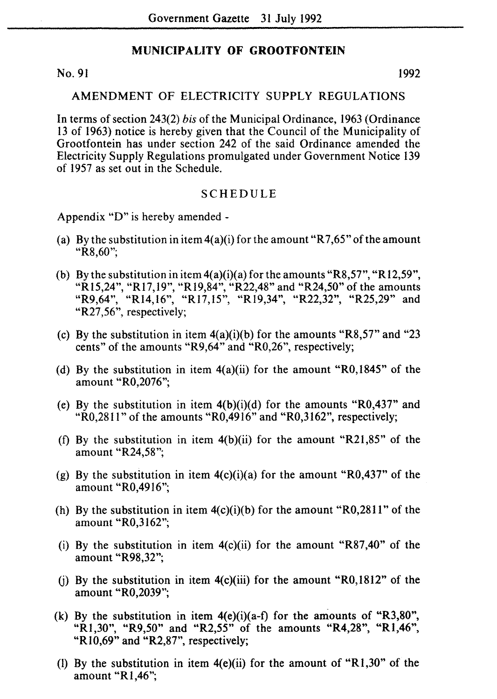No. 91 1992

#### AMENDMENT OF ELECTRICITY SUPPLY REGULATIONS

In terms of section 243(2) *his* of the Municipal Ordinance, 1963 (Ordinance 13 of 1963) notice is hereby given that the Council of the Municipality of Grootfontein has under section 242 of the said Ordinance amended the Electricity Supply Regulations promulgated under Government Notice 139 of 1957 as set out in the Schedule.

#### SCHEDULE

Appendix "D" is hereby amended -

- (a) By the substitution in item  $4(a)(i)$  for the amount "R7,65" of the amount "R8,60";
- (b) By the substitution in item  $4(a)(i)(a)$  for the amounts "R8,57", "R12,59", "RI5,24", "Rl7,19", "Rl9,84", "R22,48" and "R24,50" of the amounts "R9,64", "Rl4,16", "Rl7,15", "Rl9,34", "R22,32", "R25,29" and "R27,56", respectively;
- (c) By the substitution in item  $4(a)(i)(b)$  for the amounts "R8,57" and "23 cents" of the amounts "R9,64" and "R0,26", respectively;
- (d) By the substitution in item  $4(a)(ii)$  for the amount "R0,1845" of the amount "R0,2076";
- (e) By the substitution in item  $4(b)(i)(d)$  for the amounts "R0,437" and " $R0,2811$ " of the amounts " $R0,4916$ " and " $R0,3162$ ", respectively;
- (f) By the substitution in item  $4(b)(ii)$  for the amount "R21,85" of the amount "R24,58";
- (g) By the substitution in item  $4(c)(i)(a)$  for the amount "R0,437" of the amount "R0,4916";
- (h) By the substitution in item  $4(c)(i)(b)$  for the amount "R0,2811" of the amount "R0,3162";
- (i) By the substitution in item  $4(c)(ii)$  for the amount "R87,40" of the amount "R98,32";
- (j) By the substitution in item  $4(c)(iii)$  for the amount "R0,1812" of the amount "R0,2039";
- (k) By the substitution in item  $4(e)(i)(a-f)$  for the amounts of "R3,80", "R<sub>1</sub>,30", "R<sub>9</sub>,50" and "R<sub>2</sub>,55" of the amounts "R<sub>4</sub>,28", "R<sub>1</sub>,46", "R10,69" and "R2,87", respectively;
- (I) By the substitution in item 4(e)(ii) for the amount of "Rl,30" of the amount "Rl,46";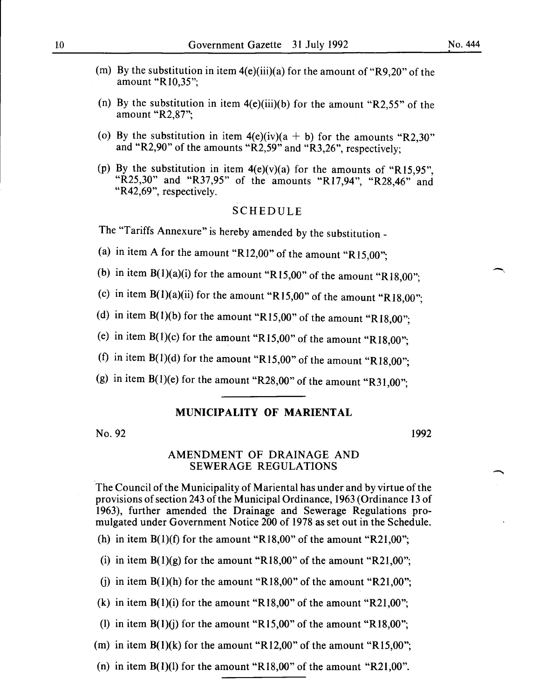- (m) By the substitution in item  $4(e)$ (iii)(a) for the amount of "R9,20" of the amount "R10,35";
- (n) By the substitution in item  $4(e)$ (iii)(b) for the amount "R2,55" of the amount "R2,87";
- (o) By the substitution in item  $4(e)(iv)(a + b)$  for the amounts "R2,30" and "R2,90" of the amounts "R2,59" and "R3,26", respectively;
- (p) By the substitution in item  $4(e)(v)(a)$  for the amounts of "R15,95", "R25,30" and "R37,95" of the amounts "R17,94", "R28,46" and "R42,69", respectively.

# SCHEDULE

The "Tariffs Annexure" is hereby amended by the substitution -

- (a) in item A for the amount "R12,00" of the amount "R15,00";
- (b) in item  $B(1)(a)(i)$  for the amount "R15,00" of the amount "R18,00";
- (c) in item  $B(1)(a)(ii)$  for the amount "R15,00" of the amount "R18,00";
- (d) in item  $B(1)(b)$  for the amount "R15,00" of the amount "R18,00";
- (e) in item  $B(1)(c)$  for the amount "R15,00" of the amount "R18,00";
- (f) in item  $B(1)(d)$  for the amount "R15,00" of the amount "R18,00";
- (g) in item  $B(1)$ (e) for the amount "R28,00" of the amount "R31,00";  $, \mathsf{w}$ ,

# MUNICIPALITY OF MARIENTAL

No. 92

#### 1992

#### AMENDMENT OF DRAINAGE AND SEWERAGE REGULATIONS

The Council of the Municipality of Mariental has under and by virtue of the provisions of section 243 of the Municipal Ordinance, 1963 (Ordinance 13 of 1963), further amended the Drainage and Sewerage Regulations promulgated under Government Notice 200 of 1978 as set out in the Schedule.

(h) in item  $B(1)(f)$  for the amount "R18,00" of the amount "R21,00";

(i) in item  $B(1)(g)$  for the amount "R18,00" of the amount "R21,00";

(i) in item  $B(1)(h)$  for the amount "R18,00" of the amount "R21,00";

(k) in item  $B(1)(i)$  for the amount "R18,00" of the amount "R21,00";

(1) in item  $B(1)(j)$  for the amount "R15,00" of the amount "R18,00";

(m) in item  $B(1)(k)$  for the amount "R12,00" of the amount "R15,00";

(n) in item  $B(1)(l)$  for the amount "R18,00" of the amount "R21,00".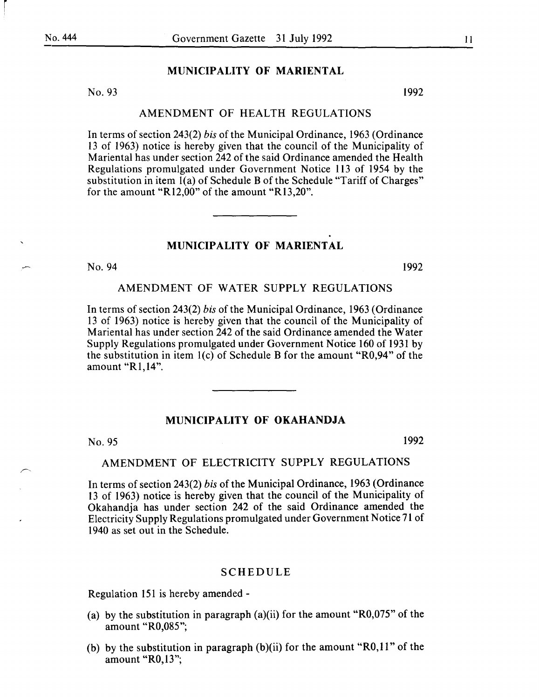r

#### MUNICIPALITY OF MARIENTAL

No. 93 1992

#### AMENDMENT OF HEALTH REGULATIONS

In terms of section 243(2) *his* of the Municipal Ordinance, 1963 (Ordinance 13 of 1963) notice is hereby given that the council of the Municipality of Mariental has under section 242 of the said Ordinance amended the Health Regulations promulgated under Government Notice 113 of 1954 by the substitution in item 1(a) of Schedule B of the Schedule "Tariff of Charges" for the amount "R12,00" of the amount "R13,20".

# MUNICIPALITY OF MARIENTAL

No. 94 1992

# AMENDMENT OF WATER SUPPLY REGULATIONS

In terms of section 243(2) *his* of the Municipal Ordinance, 1963 (Ordinance 13 of 1963) notice is hereby given that the council of the Municipality of Marien tal has under section 242 of the said Ordinance amended the Water Supply Regulations promulgated under Government Notice 160 of 1931 by the substitution in item 1(c) of Schedule B for the amount "R0,94" of the amount "R1,14".

# MUNICIPALITY OF OKAHANDJA

No. 95 1992

#### AMENDMENT OF ELECTRICITY SUPPLY REGULATIONS

In terms of section 243(2) *his* of the Municipal Ordinance, 1963 (Ordinance 13 of 1963) notice is hereby given that the council of the Municipality of Okahandja has under section 242 of the said Ordinance amended the Electricity Supply Regulations promulgated under Government Notice 71 of 1940 as set out in the Schedule.

#### SCHEDULE

Regulation 151 is hereby amended-

- (a) by the substitution in paragraph (a)(ii) for the amount "R0,075" of the amount "R0,085";
- (b) by the substitution in paragraph (b)(ii) for the amount "R0,11" of the amount "RO,l3";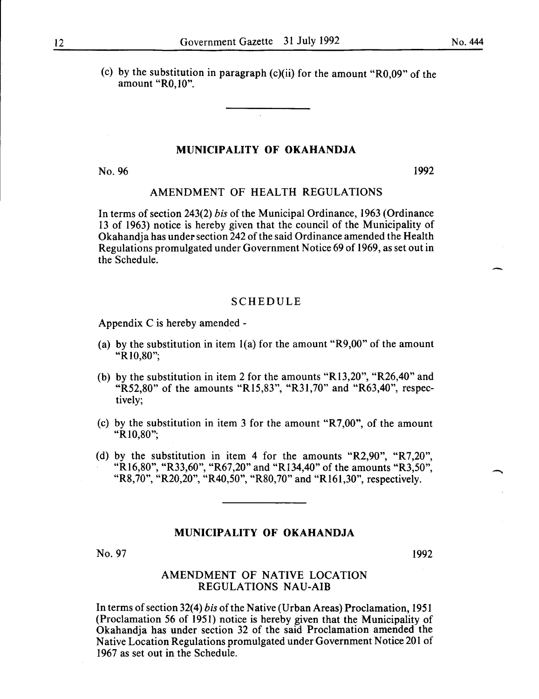(c) by the substitution in paragraph  $(c)(ii)$  for the amount "R0,09" of the amount "RO,lO".

# **MUNICIPALITY OF OKAHANDJA**

 $\mathcal{L}$ 

No. 96 1992

-

# AMENDMENT OF HEALTH REGULATIONS

In terms of section 243(2) *his* of the Municipal Ordinance, 1963 (Ordinance 13 of 1963) notice is hereby given that the council of the Municipality of Okahandja has under section 242 of the said Ordinance amended the Health Regulations promulgated under Government Notice 69 of 1969, as set out in the Schedule.

#### **SCHEDULE**

Appendix Cis hereby amended-

- (a) by the substitution in item  $1(a)$  for the amount "R9,00" of the amount "R10,80";
- (b) by the substitution in item 2 for the amounts "Rl3,20", "R26,40" and "R52,80" of the amounts "R15,83", "R31,70" and "R63,40", respectively;
- (c) by the substitution in item 3 for the amount "R7,00", of the amount "R10,80";
- (d) by the substitution in item 4 for the amounts "R2,90", "R7,20", "R<sub>16</sub>,80", "R33,60", "R67,20" and "R<sub>134</sub>,40" of the amounts "R3,50", "R8,70", "R20,20", "R40,50", "R80,70" and "R161,30", respectively.

#### **MUNICIPALITY OF OKAHANDJA**

No. 97

1992

#### AMENDMENT OF NATIVE LOCATION REGULATIONS NAU-AIB

In terms of section 32(4) *his* of the Native (Urban Areas) Proclamation, 1951 (Proclamation 56 of 1951) notice is hereby given that the Municipality of Okahandja has under section 32 of the said Proclamation amended the Native Location Regulations promulgated under Government Notice 201 of 1967 as set out in the Schedule.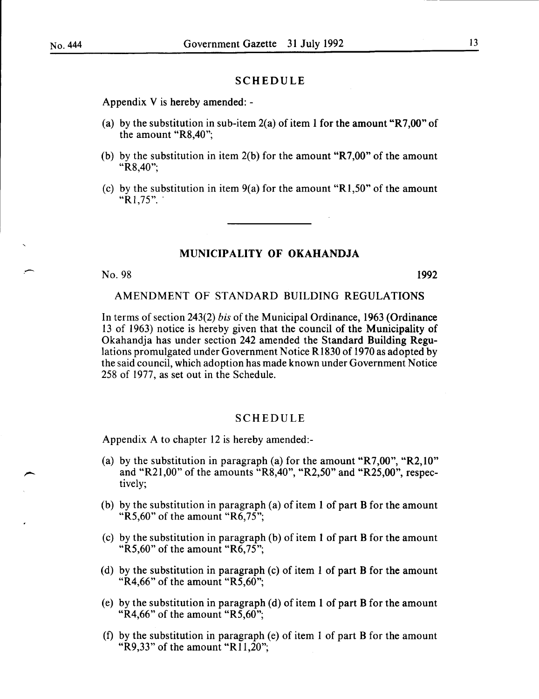.-

# SCHEDULE

Appendix V is hereby amended: -

- (a) by the substitution in sub-item  $2(a)$  of item 1 for the amount "R7,00" of the amount "R8,40";
- (b) by the substitution in item 2(b) for the amount "R7,00" of the amount "R8,40";
- (c) by the substitution in item  $9(a)$  for the amount "R1,50" of the amount " $R1,75$ ".

# MUNICIPALITY OF OKAHANDJA

No. 98 1992

#### AMENDMENT OF STANDARD BUILDING REGULATIONS

In terms of section 243(2) *bis* of the Municipal Ordinance, 1963 (Ordinance 13 of 1963) notice is hereby given that the council of the Municipality of Okahandja has under section 242 amended the Standard Building Regulations promulgated under Government Notice R1830 of 1970 as adopted by the said council, which adoption has made known under Government Notice 258 of 1977, as set out in the Schedule.

#### SCHEDULE

Appendix A to chapter 12 is hereby amended:-

- (a) by the substitution in paragraph (a) for the amount "R7,00", "R2,10" and "R21 ,00" of the amounts "R8,40", "R2,50" and "R25,00", respectively;
- (b) by the substitution in paragraph (a) of item 1 of part B for the amount "R5,60" of the amount "R6,75";
- (c) by the substitution in paragraph (b) of item 1 of part B for the amount "R5,60" of the amount "R6,75";
- (d) by the substitution in paragraph (c) of item 1 of part B for the amount "R4,66" of the amount "R5,60";
- (e) by the substitution in paragraph (d) of item 1 of part B for the amount "R4,66" of the amount "R5,60";
- (f) by the substitution in paragraph (e) of item 1 of part B for the amount "R9,33" of the amount "R11,20";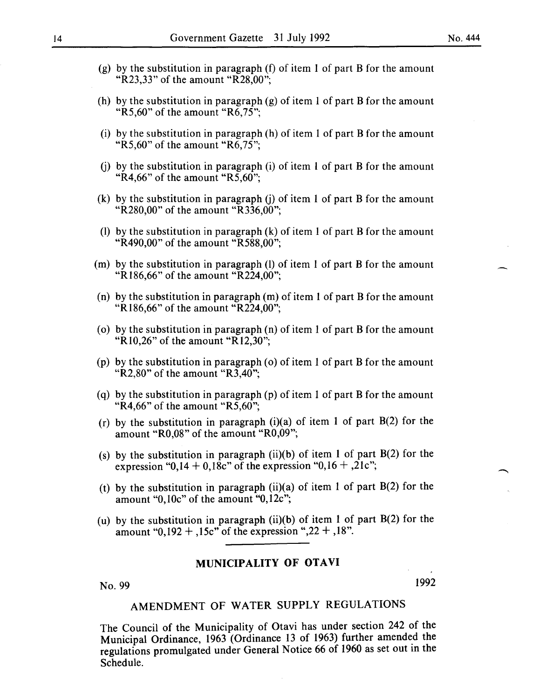- (g) by the substitution in paragraph (f) of item I of part B for the amount "R23,33" of the amount "R28,00";
- (h) by the substitution in paragraph (g) of item I of part B for the amount "R5,60" of the amount "R6,75";
- (i) by the substitution in paragraph (h) of item I of part B for the amount "R5,60" of the amount " $R6,75$ ":
- (i) by the substitution in paragraph (i) of item 1 of part B for the amount "R4,66" of the amount "R5,60";
- (k) by the substitution in paragraph (j) of item I of part B for the amount "R280,00" of the amount "R336,00";
- (1) by the substitution in paragraph (k) of item I of part B for the amount "R490,00" of the amount "R588,00";
- (m) by the substitution in paragraph (1) of item I of part B for the amount "RI86,66" of the amount "R224,00";
- (n) by the substitution in paragraph (m) of item I of part B for the amount "R186,66" of the amount "R224,00";
- ( $o$ ) by the substitution in paragraph ( $n$ ) of item 1 of part B for the amount "RI0,26" of the amount "RI2,30";
- (p) by the substitution in paragraph (o) of item I of part B for the amount "R2,80" of the amount " $R\overline{3,40}$ ";
- (q) by the substitution in paragraph  $(p)$  of item 1 of part B for the amount "R4,66" of the amount "R5,60";
- (r) by the substitution in paragraph  $(i)(a)$  of item 1 of part  $B(2)$  for the amount "R0,08" of the amount "R0,09";
- (s) by the substitution in paragraph  $(ii)(b)$  of item 1 of part  $B(2)$  for the expression "0,14 + 0,18c" of the expression "0,16 + ,21c";
- (t) by the substitution in paragraph  $(ii)(a)$  of item 1 of part  $B(2)$  for the amount "O,IOc" of the amount "0,12c";
- (u) by the substitution in paragraph  $(ii)(b)$  of item 1 of part  $B(2)$  for the amount "0,192 + ,15c" of the expression ",22 + ,18".

# **MUNICIPALITY OF OTAVI**

No. 99 **I** 1992

# AMENDMENT OF WATER SUPPLY REGULATIONS

The Council of the Municipality of Otavi has under section 242 of the Municipal Ordinance, 1963 (Ordinance 13 of 1963) further amended the regulations promulgated under General Notice 66 of 1960 as set out in the Schedule.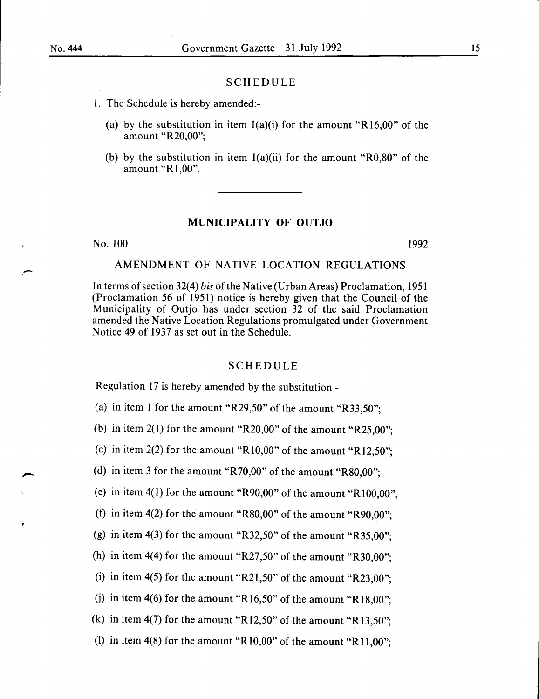# SCHEDULE

- I. The Schedule is hereby amended:-
	- (a) by the substitution in item  $l(a)(i)$  for the amount "R16,00" of the amount "R20,00";
	- (b) by the substitution in item  $l(a)(ii)$  for the amount "R0,80" of the amount "Rl,OO".

#### **MUNICIPALITY OF OUTJO**

No. 100 1992

# AMENDMENT OF NATIVE LOCATION REGULATIONS

In terms of section 32(4) *bis* of the Native (Urban Areas) Proclamation, 1951 (Proclamation 56 of 1951) notice is hereby given that the Council of the Municipality of Outjo has under section 32 of the said Proclamation amended the Native Location Regulations promulgated under Government Notice 49 of 1937 as set out in the Schedule.

#### SCHEDULE

Regulation 17 is hereby amended by the substitution -

(a) in item 1 for the amount "R29,50" of the amount "R33,50";

(b) in item  $2(1)$  for the amount "R20,00" of the amount "R25,00";

(c) in item 2(2) for the amount "R10,00" of the amount "R12,50";

(d) in item 3 for the amount "R 70,00" of the amount "R80,00";

(e) in item  $4(1)$  for the amount "R90,00" of the amount "R100,00";

(f) in item  $4(2)$  for the amount "R80,00" of the amount "R90,00";

(g) in item 4(3) for the amount "R32,50" of the amount "R35,00";

(h) in item 4(4) for the amount "R27,50" of the amount "R30.00":

(i) in item  $4(5)$  for the amount "R21,50" of the amount "R23,00";

(i) in item 4(6) for the amount "R16,50" of the amount "R18,00";

(k) in item 4(7) for the amount "R12,50" of the amount "R13,50";

(I) in item  $4(8)$  for the amount "R10,00" of the amount "R11,00";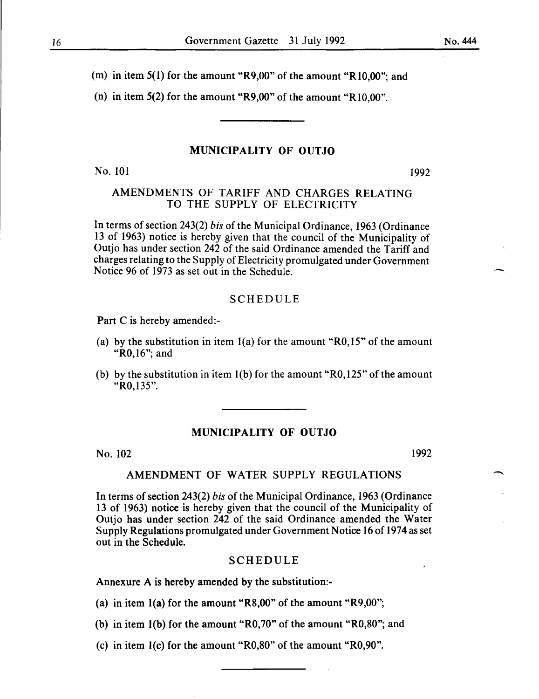(m) in item 5(1) for the amount "R9,00" of the amount "RIO,OO"; and

(n) in item 5(2) for the amount "R9,00" of the amount "R10,00".

# MUNICIPALITY OF OUTJO

No. 101 1992

# AMENDMENTS OF TARIFF AND CHARGES RELATING TO THE SUPPLY OF ELECTRICITY

In terms of section 243(2) *bis* of the Municipal Ordinance, 1963 (Ordinance 13 of 1963) notice is hereby given that the council of the Municipality of Outjo has under section 242 of the said Ordinance amended the Tariff and charges relating to the Supply of Electricity promulgated under Government Notice 96 of 1973 as set out in the Schedule.

#### SCHEDULE

Part C is hereby amended:-

- (a) by the substitution in item  $1(a)$  for the amount "R0,15" of the amount "R0,16"; and
- (b) by the substitution in item  $1(b)$  for the amount "R0,125" of the amount "RO, 135".

# MUNICIPALITY OF OUTJO

No. 102 1992

# AMENDMENT OF WATER SUPPLY REGULATIONS

In terms of section 243(2) *bis* of the Municipal Ordinance, 1963 (Ordinance 13 of 1963) notice is hereby given that the council of the Municipality of Outjo has under section 242 of the said Ordinance amended the Water Supply Regulations promulgated under Government Notice 16 of 1974 as set out in the Schedule.

#### SCHEDULE

Annexure A is hereby amended by the substitution:-

(a) in item  $l(a)$  for the amount "R8,00" of the amount "R9,00";

(b) in item l(b) for the amount "R0,70" of the amount "R0,80"; and

(c) in item 1(c) for the amount "R0,80" of the amount "R0,90".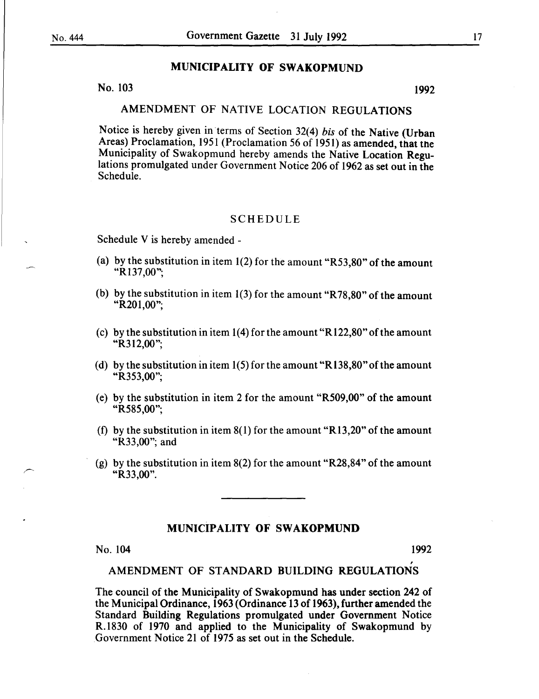# MUNICIPALITY OF SWAKOPMUND

No.  $103$  1992

# AMENDMENT OF NATIVE LOCATION REGULATIONS

Notice is hereby given in terms of Section 32(4) *his* of the Native (Urban Areas) Proclamation, 1951 (Proclamation 56 of 1951) as amended, that the Municipality of Swakopmund hereby amends the Native Location Regulations promulgated under Government Notice 206 of 1962 as set out in the Schedule.

# SCHEDULE

Schedule V is hereby amended -

- (a) by the substitution in item  $1(2)$  for the amount "R53,80" of the amount "Rl37,00";
- (b) by the substitution in item  $1(3)$  for the amount "R78,80" of the amount "R201,00";
- (c) by the substitution in item  $1(4)$  for the amount "R122,80" of the amount "R312,00";
- (d) by the substitution in item 1(5) for the amount "R138,80" of the amount "R353,00";
- (e) by the substitution in item 2 for the amount "R509,00" of the amount "R585,00";
- (f) by the substitution in item  $8(1)$  for the amount "R13,20" of the amount "R33,00"; and
- (g) by the substitution in item 8(2) for the amount "R28,84" of the amount "R33,00".

# MUNICIPALITY OF SWAKOPMUND

# No. 104 1992

,

# AMENDMENT OF STANDARD BUILDING REGULATIONS

The council of the Municipality of Swakopmund has under section 242 of the Municipal Ordinance, 1963 (Ordinance 13 of 1963), further amended the Standard Building Regulations promulgated under Government Notice R.1830 of 1970 and applied to the Municipality of Swakopmund by Government Notice 21 of 1975 as set out in the Schedule.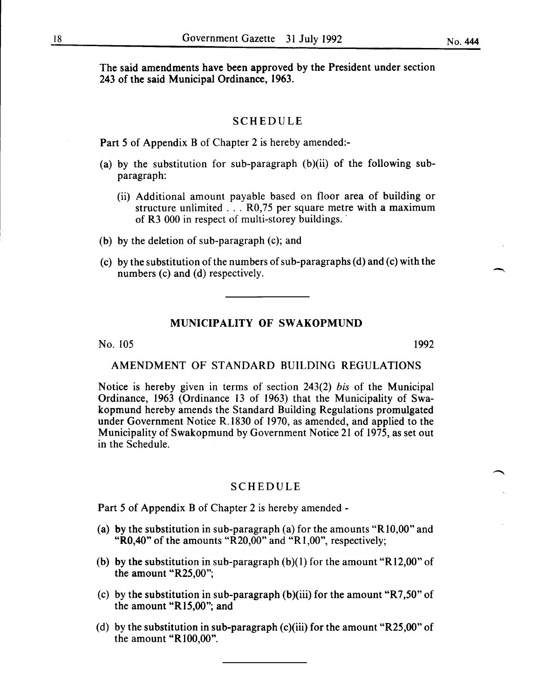The said amendments have been approved by the President under section 243 of the said Municipal Ordinance, 1963.

#### SCHEDULE

Part 5 of Appendix B of Chapter 2 is hereby amended:-

- (a) by the substitution for sub-paragraph  $(b)(ii)$  of the following subparagraph:
	- (ii) Additional amount payable based on floor area of building or structure unlimited ... R0,75 per square metre with a maximum of R3 000 in respect of multi-storey buildings.
- (b) by the deletion of sub-paragraph (c); and
- (c) by the substitution of the numbers of sub-paragraphs (d) and (c) with the numbers (c) and (d) respectively.

# MUNICIPALITY OF SWAKOPMUND

No. 105 1992

# AMENDMENT OF STANDARD BUILDING REGULATIONS

Notice is hereby given in terms of section 243(2) *bis* of the Municipal Ordinance, 1963 (Ordinance 13 of 1963) that the Municipality of Swakopmund hereby amends the Standard Building Regulations promulgated under Government Notice R.1830 of 1970, as amended, and applied to the Municipality of Swakopmund by Government Notice 21 of 1975, as set out in the Schedule.

#### SCHEDULE

Part 5 of Appendix B of Chapter 2 is hereby amended-

- (a) by the substitution in sub-paragraph (a) for the amounts "R10,00" and "R0,40" of the amounts " $R20,00$ " and "R1,00", respectively;
- (b) by the substitution in sub-paragraph  $(b)(1)$  for the amount "R12,00" of the amount "R25,00";
- (c) by the substitution in sub-paragraph (b)(iii) for the amount "R7,50" of the amount "R15,00"; and
- (d) by the substitution in sub-paragraph (c)(iii) for the amount "R25,00" of the amount "RIOO,OO".